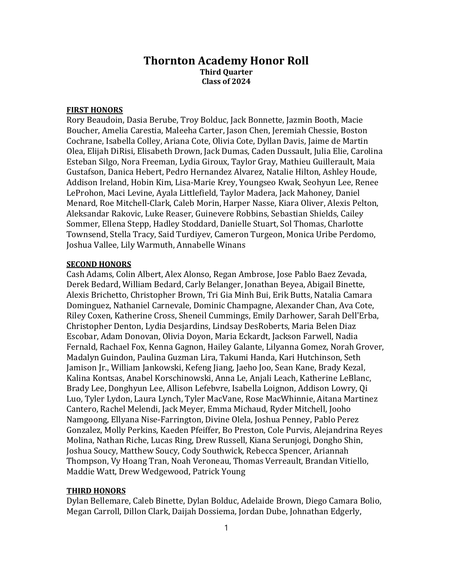## Thornton Academy Honor Roll Third Quarter Class of 2024

## FIRST HONORS

Rory Beaudoin, Dasia Berube, Troy Bolduc, Jack Bonnette, Jazmin Booth, Macie Boucher, Amelia Carestia, Maleeha Carter, Jason Chen, Jeremiah Chessie, Boston Cochrane, Isabella Colley, Ariana Cote, Olivia Cote, Dyllan Davis, Jaime de Martin Olea, Elijah DiRisi, Elisabeth Drown, Jack Dumas, Caden Dussault, Julia Elie, Carolina Esteban Silgo, Nora Freeman, Lydia Giroux, Taylor Gray, Mathieu Guillerault, Maia Gustafson, Danica Hebert, Pedro Hernandez Alvarez, Natalie Hilton, Ashley Houde, Addison Ireland, Hobin Kim, Lisa-Marie Krey, Youngseo Kwak, Seohyun Lee, Renee LeProhon, Maci Levine, Ayala Littlefield, Taylor Madera, Jack Mahoney, Daniel Menard, Roe Mitchell-Clark, Caleb Morin, Harper Nasse, Kiara Oliver, Alexis Pelton, Aleksandar Rakovic, Luke Reaser, Guinevere Robbins, Sebastian Shields, Cailey Sommer, Ellena Stepp, Hadley Stoddard, Danielle Stuart, Sol Thomas, Charlotte Townsend, Stella Tracy, Said Turdiyev, Cameron Turgeon, Monica Uribe Perdomo, Joshua Vallee, Lily Warmuth, Annabelle Winans

## **SECOND HONORS**

Cash Adams, Colin Albert, Alex Alonso, Regan Ambrose, Jose Pablo Baez Zevada, Derek Bedard, William Bedard, Carly Belanger, Jonathan Beyea, Abigail Binette, Alexis Brichetto, Christopher Brown, Tri Gia Minh Bui, Erik Butts, Natalia Camara Dominguez, Nathaniel Carnevale, Dominic Champagne, Alexander Chan, Ava Cote, Riley Coxen, Katherine Cross, Sheneil Cummings, Emily Darhower, Sarah Dell'Erba, Christopher Denton, Lydia Desjardins, Lindsay DesRoberts, Maria Belen Diaz Escobar, Adam Donovan, Olivia Doyon, Maria Eckardt, Jackson Farwell, Nadia Fernald, Rachael Fox, Kenna Gagnon, Hailey Galante, Lilyanna Gomez, Norah Grover, Madalyn Guindon, Paulina Guzman Lira, Takumi Handa, Kari Hutchinson, Seth Jamison Jr., William Jankowski, Kefeng Jiang, Jaeho Joo, Sean Kane, Brady Kezal, Kalina Kontsas, Anabel Korschinowski, Anna Le, Anjali Leach, Katherine LeBlanc, Brady Lee, Donghyun Lee, Allison Lefebvre, Isabella Loignon, Addison Lowry, Qi Luo, Tyler Lydon, Laura Lynch, Tyler MacVane, Rose MacWhinnie, Aitana Martinez Cantero, Rachel Melendi, Jack Meyer, Emma Michaud, Ryder Mitchell, Jooho Namgoong, Ellyana Nise-Farrington, Divine Olela, Joshua Penney, Pablo Perez Gonzalez, Molly Perkins, Kaeden Pfeiffer, Bo Preston, Cole Purvis, Alejandrina Reyes Molina, Nathan Riche, Lucas Ring, Drew Russell, Kiana Serunjogi, Dongho Shin, Joshua Soucy, Matthew Soucy, Cody Southwick, Rebecca Spencer, Ariannah Thompson, Vy Hoang Tran, Noah Veroneau, Thomas Verreault, Brandan Vitiello, Maddie Watt, Drew Wedgewood, Patrick Young

## THIRD HONORS

Dylan Bellemare, Caleb Binette, Dylan Bolduc, Adelaide Brown, Diego Camara Bolio, Megan Carroll, Dillon Clark, Daijah Dossiema, Jordan Dube, Johnathan Edgerly,